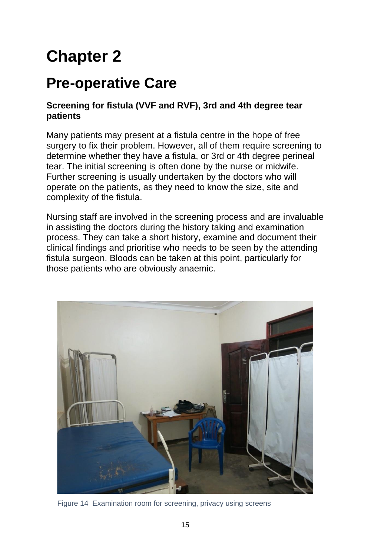# **Chapter 2**

# **Pre-operative Care**

#### **Screening for fistula (VVF and RVF), 3rd and 4th degree tear patients**

Many patients may present at a fistula centre in the hope of free surgery to fix their problem. However, all of them require screening to determine whether they have a fistula, or 3rd or 4th degree perineal tear. The initial screening is often done by the nurse or midwife. Further screening is usually undertaken by the doctors who will operate on the patients, as they need to know the size, site and complexity of the fistula.

Nursing staff are involved in the screening process and are invaluable in assisting the doctors during the history taking and examination process. They can take a short history, examine and document their clinical findings and prioritise who needs to be seen by the attending fistula surgeon. Bloods can be taken at this point, particularly for those patients who are obviously anaemic.



Figure 14 Examination room for screening, privacy using screens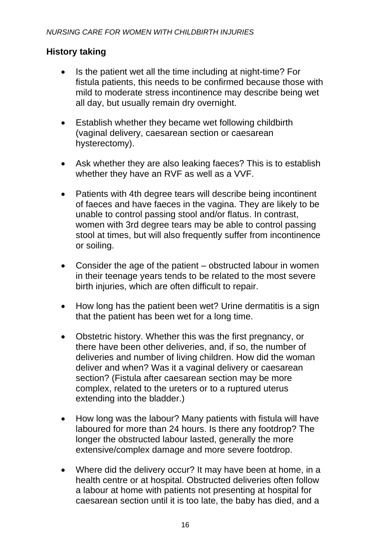#### **History taking**

- Is the patient wet all the time including at night-time? For fistula patients, this needs to be confirmed because those with mild to moderate stress incontinence may describe being wet all day, but usually remain dry overnight.
- Establish whether they became wet following childbirth (vaginal delivery, caesarean section or caesarean hysterectomy).
- Ask whether they are also leaking faeces? This is to establish whether they have an RVF as well as a VVF.
- Patients with 4th degree tears will describe being incontinent of faeces and have faeces in the vagina. They are likely to be unable to control passing stool and/or flatus. In contrast, women with 3rd degree tears may be able to control passing stool at times, but will also frequently suffer from incontinence or soiling.
- Consider the age of the patient obstructed labour in women in their teenage years tends to be related to the most severe birth injuries, which are often difficult to repair.
- How long has the patient been wet? Urine dermatitis is a sign that the patient has been wet for a long time.
- Obstetric history. Whether this was the first pregnancy, or there have been other deliveries, and, if so, the number of deliveries and number of living children. How did the woman deliver and when? Was it a vaginal delivery or caesarean section? (Fistula after caesarean section may be more complex, related to the ureters or to a ruptured uterus extending into the bladder.)
- How long was the labour? Many patients with fistula will have laboured for more than 24 hours. Is there any footdrop? The longer the obstructed labour lasted, generally the more extensive/complex damage and more severe footdrop.
- Where did the delivery occur? It may have been at home, in a health centre or at hospital. Obstructed deliveries often follow a labour at home with patients not presenting at hospital for caesarean section until it is too late, the baby has died, and a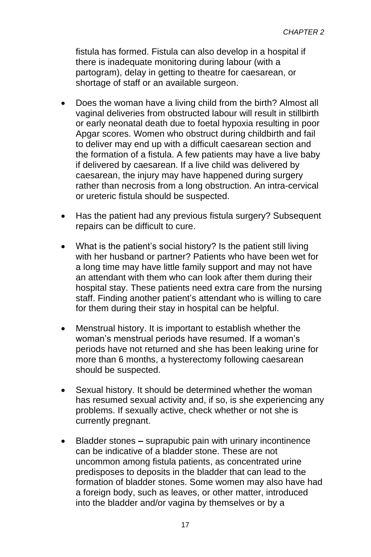fistula has formed. Fistula can also develop in a hospital if there is inadequate monitoring during labour (with a partogram), delay in getting to theatre for caesarean, or shortage of staff or an available surgeon.

- Does the woman have a living child from the birth? Almost all vaginal deliveries from obstructed labour will result in stillbirth or early neonatal death due to foetal hypoxia resulting in poor Apgar scores. Women who obstruct during childbirth and fail to deliver may end up with a difficult caesarean section and the formation of a fistula. A few patients may have a live baby if delivered by caesarean. If a live child was delivered by caesarean, the injury may have happened during surgery rather than necrosis from a long obstruction. An intra-cervical or ureteric fistula should be suspected.
- Has the patient had any previous fistula surgery? Subsequent repairs can be difficult to cure.
- What is the patient's social history? Is the patient still living with her husband or partner? Patients who have been wet for a long time may have little family support and may not have an attendant with them who can look after them during their hospital stay. These patients need extra care from the nursing staff. Finding another patient's attendant who is willing to care for them during their stay in hospital can be helpful.
- Menstrual history. It is important to establish whether the woman's menstrual periods have resumed. If a woman's periods have not returned and she has been leaking urine for more than 6 months, a hysterectomy following caesarean should be suspected.
- Sexual history. It should be determined whether the woman has resumed sexual activity and, if so, is she experiencing any problems. If sexually active, check whether or not she is currently pregnant.
- Bladder stones **–** suprapubic pain with urinary incontinence can be indicative of a bladder stone. These are not uncommon among fistula patients, as concentrated urine predisposes to deposits in the bladder that can lead to the formation of bladder stones. Some women may also have had a foreign body, such as leaves, or other matter, introduced into the bladder and/or vagina by themselves or by a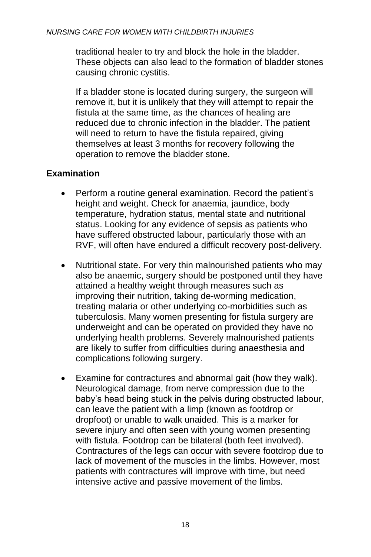traditional healer to try and block the hole in the bladder. These objects can also lead to the formation of bladder stones causing chronic cystitis.

If a bladder stone is located during surgery, the surgeon will remove it, but it is unlikely that they will attempt to repair the fistula at the same time, as the chances of healing are reduced due to chronic infection in the bladder. The patient will need to return to have the fistula repaired, giving themselves at least 3 months for recovery following the operation to remove the bladder stone.

## **Examination**

- Perform a routine general examination. Record the patient's height and weight. Check for anaemia, jaundice, body temperature, hydration status, mental state and nutritional status. Looking for any evidence of sepsis as patients who have suffered obstructed labour, particularly those with an RVF, will often have endured a difficult recovery post-delivery.
- Nutritional state. For very thin malnourished patients who may also be anaemic, surgery should be postponed until they have attained a healthy weight through measures such as improving their nutrition, taking de-worming medication, treating malaria or other underlying co-morbidities such as tuberculosis. Many women presenting for fistula surgery are underweight and can be operated on provided they have no underlying health problems. Severely malnourished patients are likely to suffer from difficulties during anaesthesia and complications following surgery.
- Examine for contractures and abnormal gait (how they walk). Neurological damage, from nerve compression due to the baby's head being stuck in the pelvis during obstructed labour, can leave the patient with a limp (known as footdrop or dropfoot) or unable to walk unaided. This is a marker for severe injury and often seen with young women presenting with fistula. Footdrop can be bilateral (both feet involved). Contractures of the legs can occur with severe footdrop due to lack of movement of the muscles in the limbs. However, most patients with contractures will improve with time, but need intensive active and passive movement of the limbs.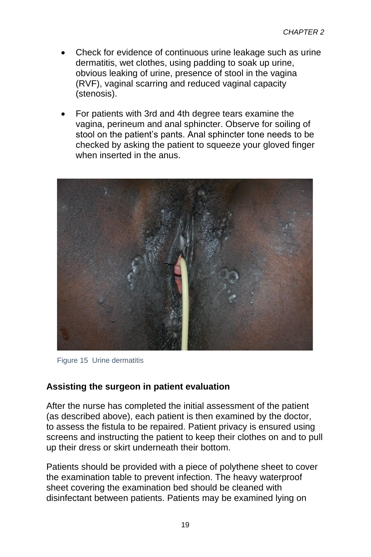- Check for evidence of continuous urine leakage such as urine dermatitis, wet clothes, using padding to soak up urine, obvious leaking of urine, presence of stool in the vagina (RVF), vaginal scarring and reduced vaginal capacity (stenosis).
- For patients with 3rd and 4th degree tears examine the vagina, perineum and anal sphincter. Observe for soiling of stool on the patient's pants. Anal sphincter tone needs to be checked by asking the patient to squeeze your gloved finger when inserted in the anus.



Figure 15 Urine dermatitis

#### **Assisting the surgeon in patient evaluation**

After the nurse has completed the initial assessment of the patient (as described above), each patient is then examined by the doctor, to assess the fistula to be repaired. Patient privacy is ensured using screens and instructing the patient to keep their clothes on and to pull up their dress or skirt underneath their bottom.

Patients should be provided with a piece of polythene sheet to cover the examination table to prevent infection. The heavy waterproof sheet covering the examination bed should be cleaned with disinfectant between patients. Patients may be examined lying on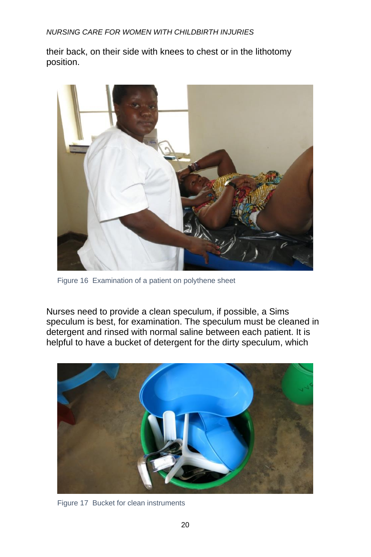*NURSING CARE FOR WOMEN WITH CHILDBIRTH INJURIES*

their back, on their side with knees to chest or in the lithotomy position.



Figure 16 Examination of a patient on polythene sheet

Nurses need to provide a clean speculum, if possible, a Sims speculum is best, for examination. The speculum must be cleaned in detergent and rinsed with normal saline between each patient. It is helpful to have a bucket of detergent for the dirty speculum, which



Figure 17 Bucket for clean instruments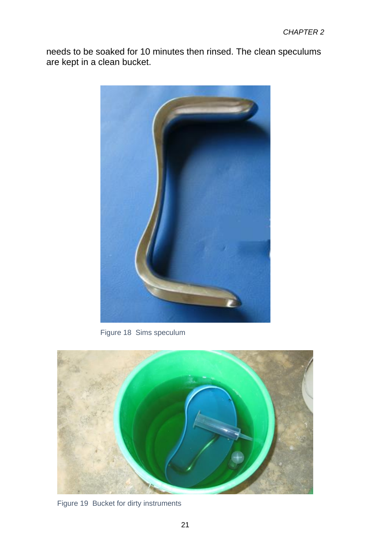needs to be soaked for 10 minutes then rinsed. The clean speculums are kept in a clean bucket.



Figure 18 Sims speculum



Figure 19 Bucket for dirty instruments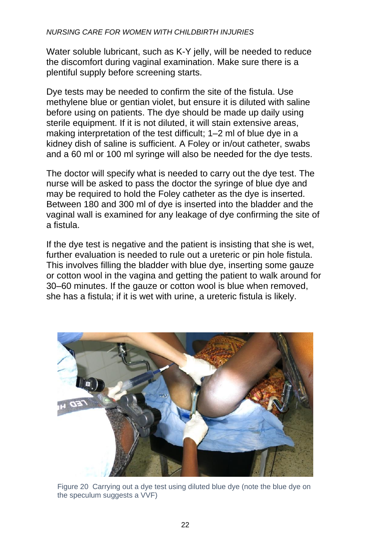#### *NURSING CARE FOR WOMEN WITH CHILDBIRTH INJURIES*

Water soluble lubricant, such as K-Y jelly, will be needed to reduce the discomfort during vaginal examination. Make sure there is a plentiful supply before screening starts.

Dye tests may be needed to confirm the site of the fistula. Use methylene blue or gentian violet, but ensure it is diluted with saline before using on patients. The dye should be made up daily using sterile equipment. If it is not diluted, it will stain extensive areas, making interpretation of the test difficult; 1–2 ml of blue dye in a kidney dish of saline is sufficient. A Foley or in/out catheter, swabs and a 60 ml or 100 ml syringe will also be needed for the dye tests.

The doctor will specify what is needed to carry out the dye test. The nurse will be asked to pass the doctor the syringe of blue dye and may be required to hold the Foley catheter as the dye is inserted. Between 180 and 300 ml of dye is inserted into the bladder and the vaginal wall is examined for any leakage of dye confirming the site of a fistula.

If the dye test is negative and the patient is insisting that she is wet. further evaluation is needed to rule out a ureteric or pin hole fistula. This involves filling the bladder with blue dye, inserting some gauze or cotton wool in the vagina and getting the patient to walk around for 30–60 minutes. If the gauze or cotton wool is blue when removed, she has a fistula; if it is wet with urine, a ureteric fistula is likely.



Figure 20 Carrying out a dye test using diluted blue dye (note the blue dye on the speculum suggests a VVF)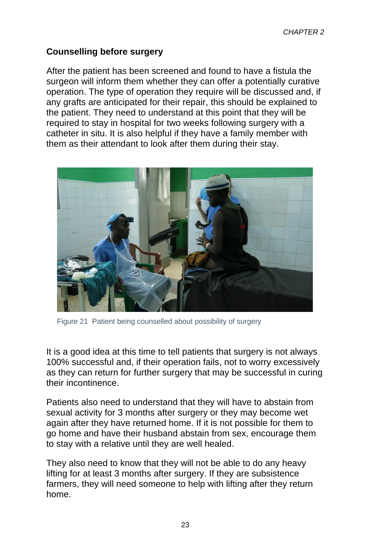#### **Counselling before surgery**

After the patient has been screened and found to have a fistula the surgeon will inform them whether they can offer a potentially curative operation. The type of operation they require will be discussed and, if any grafts are anticipated for their repair, this should be explained to the patient. They need to understand at this point that they will be required to stay in hospital for two weeks following surgery with a catheter in situ. It is also helpful if they have a family member with them as their attendant to look after them during their stay.

![](_page_8_Picture_3.jpeg)

Figure 21 Patient being counselled about possibility of surgery

It is a good idea at this time to tell patients that surgery is not always 100% successful and, if their operation fails, not to worry excessively as they can return for further surgery that may be successful in curing their incontinence.

Patients also need to understand that they will have to abstain from sexual activity for 3 months after surgery or they may become wet again after they have returned home. If it is not possible for them to go home and have their husband abstain from sex, encourage them to stay with a relative until they are well healed.

They also need to know that they will not be able to do any heavy lifting for at least 3 months after surgery. If they are subsistence farmers, they will need someone to help with lifting after they return home.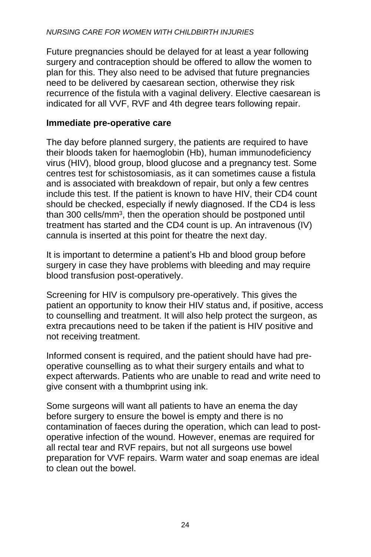Future pregnancies should be delayed for at least a year following surgery and contraception should be offered to allow the women to plan for this. They also need to be advised that future pregnancies need to be delivered by caesarean section, otherwise they risk recurrence of the fistula with a vaginal delivery. Elective caesarean is indicated for all VVF, RVF and 4th degree tears following repair.

### **Immediate pre-operative care**

The day before planned surgery, the patients are required to have their bloods taken for haemoglobin (Hb), human immunodeficiency virus (HIV), blood group, blood glucose and a pregnancy test. Some centres test for schistosomiasis, as it can sometimes cause a fistula and is associated with breakdown of repair, but only a few centres include this test. If the patient is known to have HIV, their CD4 count should be checked, especially if newly diagnosed. If the CD4 is less than 300 cells/mm<sup>3</sup>, then the operation should be postponed until treatment has started and the CD4 count is up. An intravenous (IV) cannula is inserted at this point for theatre the next day.

It is important to determine a patient's Hb and blood group before surgery in case they have problems with bleeding and may require blood transfusion post-operatively.

Screening for HIV is compulsory pre-operatively. This gives the patient an opportunity to know their HIV status and, if positive, access to counselling and treatment. It will also help protect the surgeon, as extra precautions need to be taken if the patient is HIV positive and not receiving treatment.

Informed consent is required, and the patient should have had preoperative counselling as to what their surgery entails and what to expect afterwards. Patients who are unable to read and write need to give consent with a thumbprint using ink.

Some surgeons will want all patients to have an enema the day before surgery to ensure the bowel is empty and there is no contamination of faeces during the operation, which can lead to postoperative infection of the wound. However, enemas are required for all rectal tear and RVF repairs, but not all surgeons use bowel preparation for VVF repairs. Warm water and soap enemas are ideal to clean out the bowel.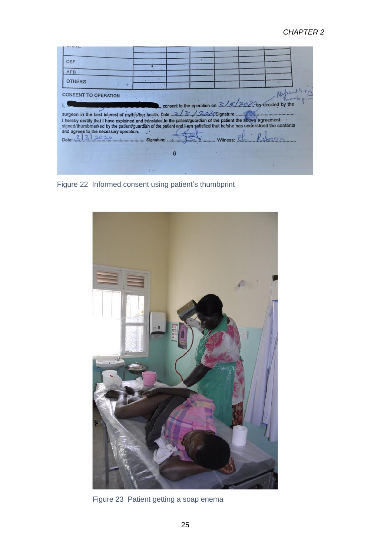| <b>CSF</b><br><b>AFB</b><br><b>OTHERS</b>                                                                                                                                                                                                                                                                                                                                                                                   |  |  |  |  |
|-----------------------------------------------------------------------------------------------------------------------------------------------------------------------------------------------------------------------------------------------------------------------------------------------------------------------------------------------------------------------------------------------------------------------------|--|--|--|--|
| <b>CONSENT TO OPERATION</b>                                                                                                                                                                                                                                                                                                                                                                                                 |  |  |  |  |
| surgeon in the best interest of my/his/her health. Date 2.2.2.2.2.3. Coignature<br>I hereby certify that I have explained and translated to the patient/guardian of the patient the above agreement<br>signed/thumbmarked by the patient/guardian of the patient and I am satisfied that he/she has understood the contents<br>and agrees to the necessary operation.<br>$\bullet$<br>Witness: El Robecca<br>Date: 3.3.2020 |  |  |  |  |
|                                                                                                                                                                                                                                                                                                                                                                                                                             |  |  |  |  |
|                                                                                                                                                                                                                                                                                                                                                                                                                             |  |  |  |  |

Figure 22 Informed consent using patient's thumbprint

![](_page_10_Picture_3.jpeg)

Figure 23 Patient getting a soap enema